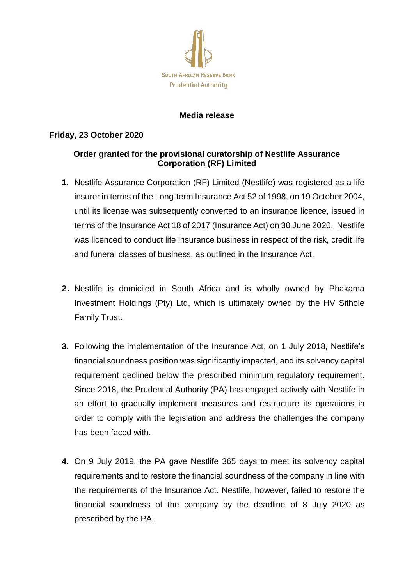

## **Media release**

## **Friday, 23 October 2020**

## **Order granted for the provisional curatorship of Nestlife Assurance Corporation (RF) Limited**

- **1.** Nestlife Assurance Corporation (RF) Limited (Nestlife) was registered as a life insurer in terms of the Long-term Insurance Act 52 of 1998, on 19 October 2004, until its license was subsequently converted to an insurance licence, issued in terms of the Insurance Act 18 of 2017 (Insurance Act) on 30 June 2020. Nestlife was licenced to conduct life insurance business in respect of the risk, credit life and funeral classes of business, as outlined in the Insurance Act.
- **2.** Nestlife is domiciled in South Africa and is wholly owned by Phakama Investment Holdings (Pty) Ltd, which is ultimately owned by the HV Sithole Family Trust.
- **3.** Following the implementation of the Insurance Act, on 1 July 2018, Nestlife's financial soundness position was significantly impacted, and its solvency capital requirement declined below the prescribed minimum regulatory requirement. Since 2018, the Prudential Authority (PA) has engaged actively with Nestlife in an effort to gradually implement measures and restructure its operations in order to comply with the legislation and address the challenges the company has been faced with.
- **4.** On 9 July 2019, the PA gave Nestlife 365 days to meet its solvency capital requirements and to restore the financial soundness of the company in line with the requirements of the Insurance Act. Nestlife, however, failed to restore the financial soundness of the company by the deadline of 8 July 2020 as prescribed by the PA.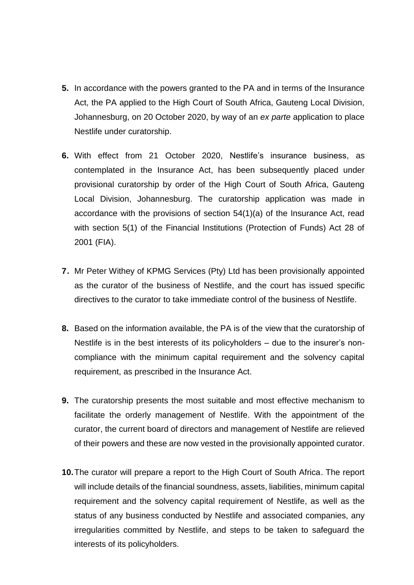- **5.** In accordance with the powers granted to the PA and in terms of the Insurance Act, the PA applied to the High Court of South Africa, Gauteng Local Division, Johannesburg, on 20 October 2020, by way of an *ex parte* application to place Nestlife under curatorship.
- **6.** With effect from 21 October 2020, Nestlife's insurance business, as contemplated in the Insurance Act, has been subsequently placed under provisional curatorship by order of the High Court of South Africa, Gauteng Local Division, Johannesburg. The curatorship application was made in accordance with the provisions of section 54(1)(a) of the Insurance Act, read with section 5(1) of the Financial Institutions (Protection of Funds) Act 28 of 2001 (FIA).
- **7.** Mr Peter Withey of KPMG Services (Pty) Ltd has been provisionally appointed as the curator of the business of Nestlife, and the court has issued specific directives to the curator to take immediate control of the business of Nestlife.
- **8.** Based on the information available, the PA is of the view that the curatorship of Nestlife is in the best interests of its policyholders – due to the insurer's noncompliance with the minimum capital requirement and the solvency capital requirement, as prescribed in the Insurance Act.
- **9.** The curatorship presents the most suitable and most effective mechanism to facilitate the orderly management of Nestlife. With the appointment of the curator, the current board of directors and management of Nestlife are relieved of their powers and these are now vested in the provisionally appointed curator.
- **10.**The curator will prepare a report to the High Court of South Africa. The report will include details of the financial soundness, assets, liabilities, minimum capital requirement and the solvency capital requirement of Nestlife, as well as the status of any business conducted by Nestlife and associated companies, any irregularities committed by Nestlife, and steps to be taken to safeguard the interests of its policyholders.